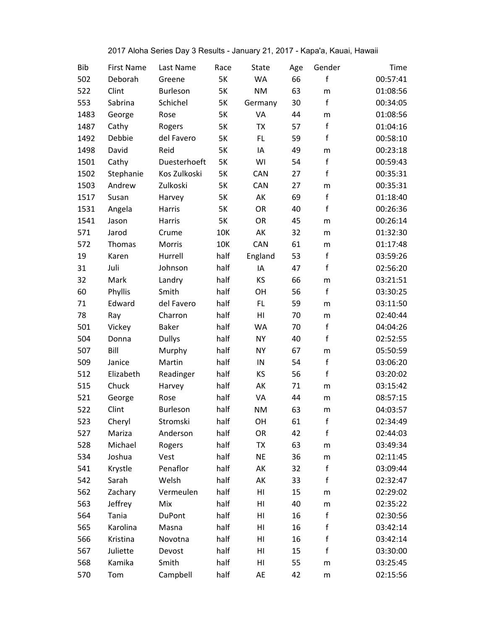| 2017 Aloha Series Day 3 Results - January 21, 2017 - Kapa'a, Kauai, Hawaii |  |  |  |
|----------------------------------------------------------------------------|--|--|--|
|                                                                            |  |  |  |

| <b>Bib</b> | <b>First Name</b> | Last Name       | Race       | State     | Age | Gender      | Time     |
|------------|-------------------|-----------------|------------|-----------|-----|-------------|----------|
| 502        | Deborah           | Greene          | <b>5K</b>  | <b>WA</b> | 66  | f           | 00:57:41 |
| 522        | Clint             | <b>Burleson</b> | 5K         | <b>NM</b> | 63  | m           | 01:08:56 |
| 553        | Sabrina           | Schichel        | <b>5K</b>  | Germany   | 30  | f           | 00:34:05 |
| 1483       | George            | Rose            | 5K         | VA        | 44  | m           | 01:08:56 |
| 1487       | Cathy             | Rogers          | 5K         | <b>TX</b> | 57  | f           | 01:04:16 |
| 1492       | Debbie            | del Favero      | 5K         | FL        | 59  | $\mathsf f$ | 00:58:10 |
| 1498       | David             | Reid            | 5K         | IA        | 49  | m           | 00:23:18 |
| 1501       | Cathy             | Duesterhoeft    | 5K         | WI        | 54  | f           | 00:59:43 |
| 1502       | Stephanie         | Kos Zulkoski    | 5K         | CAN       | 27  | f           | 00:35:31 |
| 1503       | Andrew            | Zulkoski        | <b>5K</b>  | CAN       | 27  | m           | 00:35:31 |
| 1517       | Susan             | Harvey          | 5K         | AK        | 69  | f           | 01:18:40 |
| 1531       | Angela            | Harris          | <b>5K</b>  | OR        | 40  | $\mathsf f$ | 00:26:36 |
| 1541       | Jason             | Harris          | <b>5K</b>  | OR        | 45  | m           | 00:26:14 |
| 571        | Jarod             | Crume           | <b>10K</b> | AK        | 32  | m           | 01:32:30 |
| 572        | Thomas            | Morris          | 10K        | CAN       | 61  | m           | 01:17:48 |
| 19         | Karen             | Hurrell         | half       | England   | 53  | f           | 03:59:26 |
| 31         | Juli              | Johnson         | half       | IA        | 47  | f           | 02:56:20 |
| 32         | Mark              | Landry          | half       | KS        | 66  | m           | 03:21:51 |
| 60         | Phyllis           | Smith           | half       | OH        | 56  | f           | 03:30:25 |
| 71         | Edward            | del Favero      | half       | FL        | 59  | m           | 03:11:50 |
| 78         | Ray               | Charron         | half       | HI        | 70  | m           | 02:40:44 |
| 501        | Vickey            | <b>Baker</b>    | half       | <b>WA</b> | 70  | $\mathsf f$ | 04:04:26 |
| 504        | Donna             | <b>Dullys</b>   | half       | <b>NY</b> | 40  | $\mathsf f$ | 02:52:55 |
| 507        | Bill              | Murphy          | half       | <b>NY</b> | 67  | m           | 05:50:59 |
| 509        | Janice            | Martin          | half       | IN        | 54  | f           | 03:06:20 |
| 512        | Elizabeth         | Readinger       | half       | KS        | 56  | f           | 03:20:02 |
| 515        | Chuck             | Harvey          | half       | AK        | 71  | m           | 03:15:42 |
| 521        | George            | Rose            | half       | VA        | 44  | m           | 08:57:15 |
| 522        | Clint             | Burleson        | half       | <b>NM</b> | 63  | m           | 04:03:57 |
| 523        | Cheryl            | Stromski        | half       | OН        | 61  | f           | 02:34:49 |
| 527        | Mariza            | Anderson        | half       | OR        | 42  | $\mathsf f$ | 02:44:03 |
| 528        | Michael           | Rogers          | half       | TX        | 63  | m           | 03:49:34 |
| 534        | Joshua            | Vest            | half       | <b>NE</b> | 36  | ${\sf m}$   | 02:11:45 |
| 541        | Krystle           | Penaflor        | half       | AK        | 32  | $\mathsf f$ | 03:09:44 |
| 542        | Sarah             | Welsh           | half       | AK        | 33  | f           | 02:32:47 |
| 562        | Zachary           | Vermeulen       | half       | HI        | 15  | m           | 02:29:02 |
| 563        | Jeffrey           | Mix             | half       | HI        | 40  | ${\sf m}$   | 02:35:22 |
| 564        | Tania             | <b>DuPont</b>   | half       | HI        | 16  | $\mathsf f$ | 02:30:56 |
| 565        | Karolina          | Masna           | half       | HI        | 16  | f           | 03:42:14 |
| 566        | Kristina          | Novotna         | half       | HI        | 16  | $\mathsf f$ | 03:42:14 |
| 567        | Juliette          | Devost          | half       | HI        | 15  | f           | 03:30:00 |
| 568        | Kamika            | Smith           | half       | HI        | 55  | m           | 03:25:45 |
| 570        | Tom               | Campbell        | half       | AE        | 42  | m           | 02:15:56 |